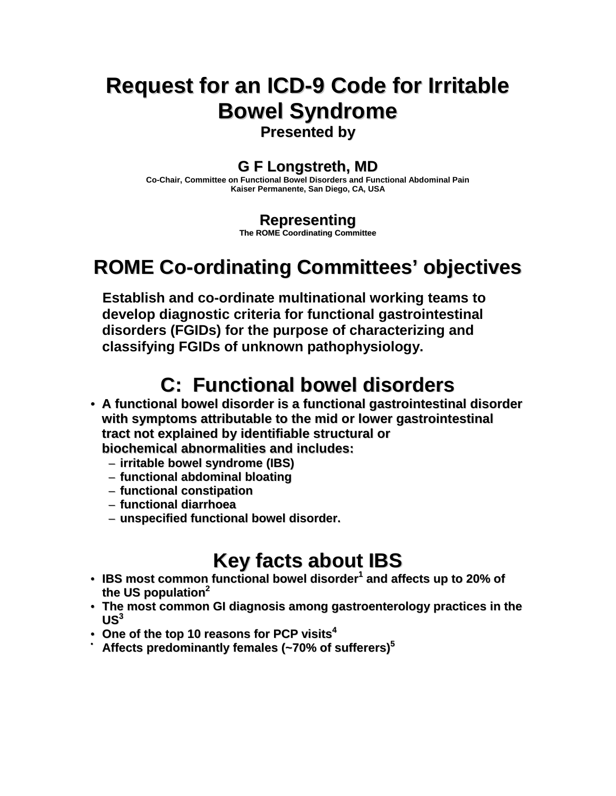# **Request for an ICD-9 Code for Irritable Bowel Syndrome**

**Presented by**

#### **G F Longstreth, MD**

**Co-Chair, Committee on Functional Bowel Disorders and Functional Abdominal Pain Kaiser Permanente, San Diego, CA, USA**

#### **Representing**

**The ROME Coordinating Committee**

# **ROME Co-ordinating Committees' objectives**

**Establish and co-ordinate multinational working teams to develop diagnostic criteria for functional gastrointestinal disorders (FGIDs) for the purpose of characterizing and classifying FGIDs of unknown pathophysiology.**

## **C: Functional bowel disorders**

- **A functional bowel disorder is a functional gastrointestinal disorder with symptoms attributable to the mid or lower gastrointestinal tract not explained by identifiable structural or biochemical abnormalities and includes:**
	- **irritable bowel syndrome (IBS)**
	- **functional abdominal bloating**
	- **functional constipation**
	- **functional diarrhoea**
	- **unspecified functional bowel disorder.**

## **Key facts about IBS**

- **IBS most common functional bowel disorder 1 and affects up to 20% of the US population 2**
- **The most common GI diagnosis among gastroenterology practices in the**  $US^3$
- **One of the top 10 reasons for PCP visits 4**
- **Affects predominantly females (~70% of sufferers) 5**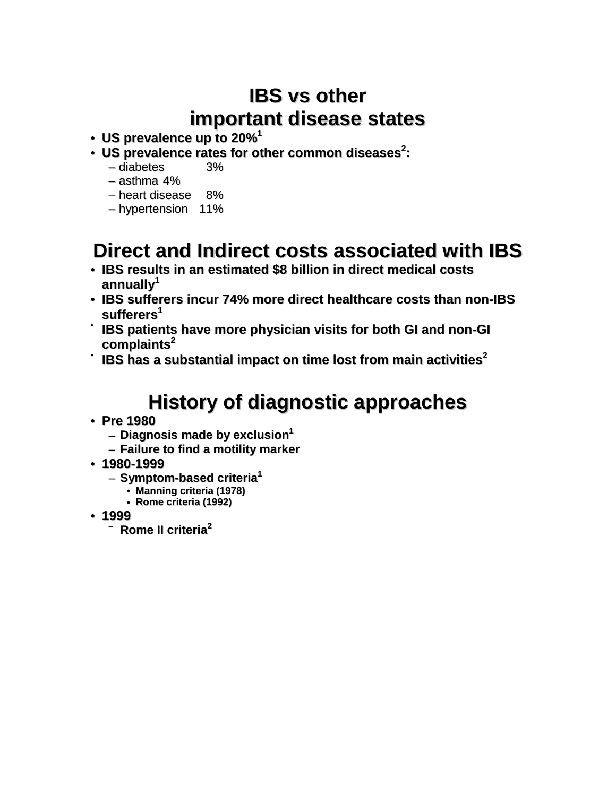## **IBS vs other important disease states**

- **US prevalence up to 20% 1**
- **US prevalence rates for other common diseases 2 :**
	- diabetes 3%
	- asthma 4%
	- heart disease 8%
	- hypertension 11%

## **Direct and Indirect costs associated with IBS**

- **IBS results in an estimated \$8 billion in direct medical costs annually 1**
- **IBS sufferers incur 74% more direct healthcare costs than non-IBS sufferers 1**
- **IBS patients have more physician visits for both GI and non-GI complaints 2**
- **IBS has a substantial impact on time lost from main activities 2**

# **History of diagnostic approaches**

- **Pre 1980**
	- **Diagnosis made by exclusion 1**
	- **Failure to find a motility marker**
- **1980-1999**
	- **Symptom-based criteria 1**
		- **Manning criteria (1978)**
		- **Rome criteria (1992)**
- **1999**
	- **Rome II criteria 2**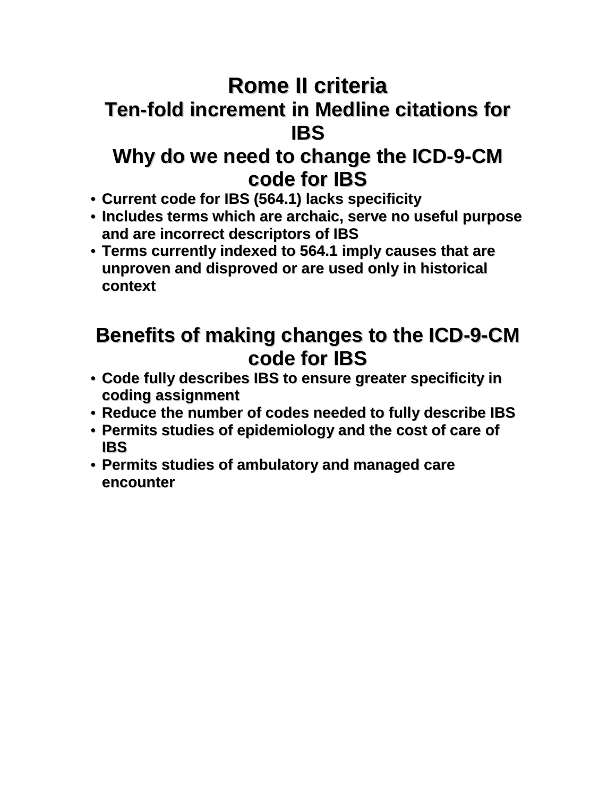# **Rome II criteria Ten-fold increment in Medline citations for IBS**

### **Why do we need to change the ICD-9-CM code for IBS**

- **Current code for IBS (564.1) lacks specificity**
- **Includes terms which are archaic, serve no useful purpose and are incorrect descriptors of IBS**
- **Terms currently indexed to 564.1 imply causes that are unproven and disproved or are used only in historical context**

## **Benefits of making changes to the ICD-9-CM code for IBS**

- **Code fully describes IBS to ensure greater specificity in coding assignment**
- **Reduce the number of codes needed to fully describe IBS**
- **Permits studies of epidemiology and the cost of care of IBS**
- **Permits studies of ambulatory and managed care encounter**